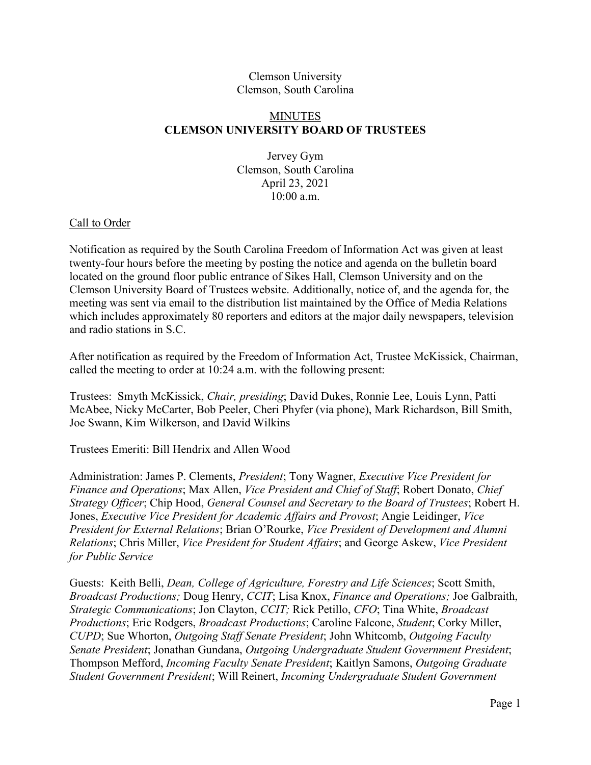## Clemson University Clemson, South Carolina

## MINUTES **CLEMSON UNIVERSITY BOARD OF TRUSTEES**

Jervey Gym Clemson, South Carolina April 23, 2021 10:00 a.m.

## Call to Order

Notification as required by the South Carolina Freedom of Information Act was given at least twenty-four hours before the meeting by posting the notice and agenda on the bulletin board located on the ground floor public entrance of Sikes Hall, Clemson University and on the Clemson University Board of Trustees website. Additionally, notice of, and the agenda for, the meeting was sent via email to the distribution list maintained by the Office of Media Relations which includes approximately 80 reporters and editors at the major daily newspapers, television and radio stations in S.C.

After notification as required by the Freedom of Information Act, Trustee McKissick, Chairman, called the meeting to order at 10:24 a.m. with the following present:

Trustees: Smyth McKissick, *Chair, presiding*; David Dukes, Ronnie Lee, Louis Lynn, Patti McAbee, Nicky McCarter, Bob Peeler, Cheri Phyfer (via phone), Mark Richardson, Bill Smith, Joe Swann, Kim Wilkerson, and David Wilkins

Trustees Emeriti: Bill Hendrix and Allen Wood

Administration: James P. Clements, *President*; Tony Wagner, *Executive Vice President for Finance and Operations*; Max Allen, *Vice President and Chief of Staff*; Robert Donato, *Chief Strategy Officer*; Chip Hood, *General Counsel and Secretary to the Board of Trustees*; Robert H. Jones, *Executive Vice President for Academic Affairs and Provost*; Angie Leidinger, *Vice President for External Relations*; Brian O'Rourke, *Vice President of Development and Alumni Relations*; Chris Miller, *Vice President for Student Affairs*; and George Askew, *Vice President for Public Service*

Guests: Keith Belli, *Dean, College of Agriculture, Forestry and Life Sciences*; Scott Smith, *Broadcast Productions;* Doug Henry, *CCIT*; Lisa Knox, *Finance and Operations;* Joe Galbraith, *Strategic Communications*; Jon Clayton, *CCIT;* Rick Petillo, *CFO*; Tina White, *Broadcast Productions*; Eric Rodgers, *Broadcast Productions*; Caroline Falcone, *Student*; Corky Miller, *CUPD*; Sue Whorton, *Outgoing Staff Senate President*; John Whitcomb, *Outgoing Faculty Senate President*; Jonathan Gundana, *Outgoing Undergraduate Student Government President*; Thompson Mefford, *Incoming Faculty Senate President*; Kaitlyn Samons, *Outgoing Graduate Student Government President*; Will Reinert, *Incoming Undergraduate Student Government*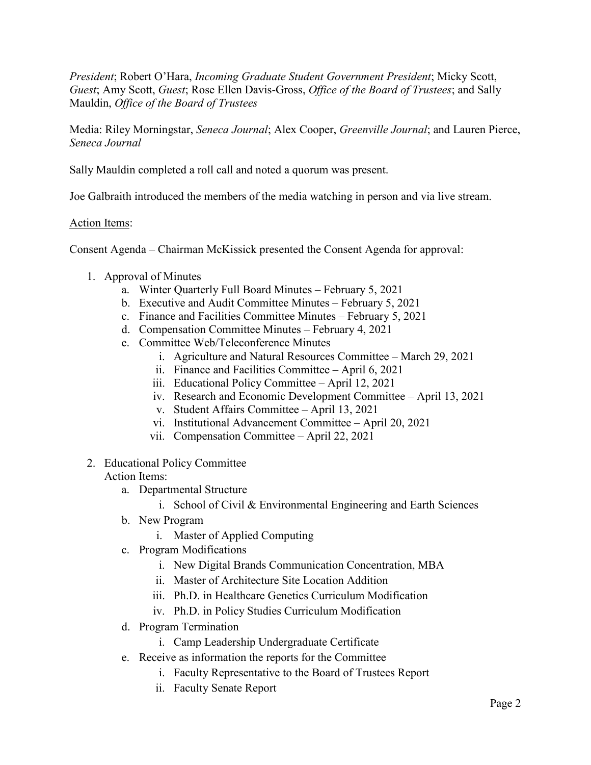*President*; Robert O'Hara, *Incoming Graduate Student Government President*; Micky Scott, *Guest*; Amy Scott, *Guest*; Rose Ellen Davis-Gross, *Office of the Board of Trustees*; and Sally Mauldin, *Office of the Board of Trustees*

Media: Riley Morningstar, *Seneca Journal*; Alex Cooper, *Greenville Journal*; and Lauren Pierce, *Seneca Journal*

Sally Mauldin completed a roll call and noted a quorum was present.

Joe Galbraith introduced the members of the media watching in person and via live stream.

## Action Items:

Consent Agenda – Chairman McKissick presented the Consent Agenda for approval:

- 1. Approval of Minutes
	- a. Winter Quarterly Full Board Minutes February 5, 2021
	- b. Executive and Audit Committee Minutes February 5, 2021
	- c. Finance and Facilities Committee Minutes February 5, 2021
	- d. Compensation Committee Minutes February 4, 2021
	- e. Committee Web/Teleconference Minutes
		- i. Agriculture and Natural Resources Committee March 29, 2021
		- ii. Finance and Facilities Committee April 6, 2021
		- iii. Educational Policy Committee April 12, 2021
		- iv. Research and Economic Development Committee April 13, 2021
		- v. Student Affairs Committee April 13, 2021
		- vi. Institutional Advancement Committee April 20, 2021
		- vii. Compensation Committee April 22, 2021
- 2. Educational Policy Committee

## Action Items:

- a. Departmental Structure
	- i. School of Civil & Environmental Engineering and Earth Sciences
- b. New Program
	- i. Master of Applied Computing
- c. Program Modifications
	- i. New Digital Brands Communication Concentration, MBA
	- ii. Master of Architecture Site Location Addition
	- iii. Ph.D. in Healthcare Genetics Curriculum Modification
	- iv. Ph.D. in Policy Studies Curriculum Modification
- d. Program Termination
	- i. Camp Leadership Undergraduate Certificate
- e. Receive as information the reports for the Committee
	- i. Faculty Representative to the Board of Trustees Report
	- ii. Faculty Senate Report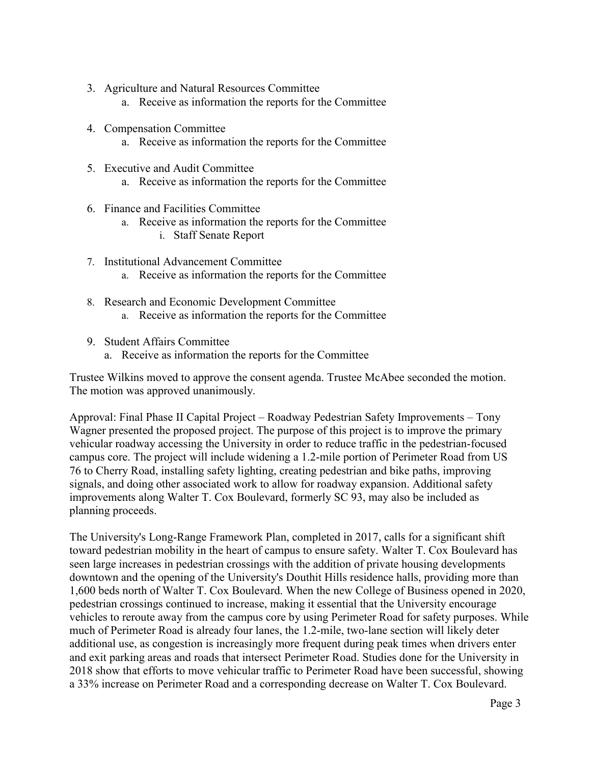- 3. Agriculture and Natural Resources Committee
	- a. Receive as information the reports for the Committee
- 4. Compensation Committee
	- a. Receive as information the reports for the Committee
- 5. Executive and Audit Committee
	- a. Receive as information the reports for the Committee
- 6. Finance and Facilities Committee
	- a. Receive as information the reports for the Committee
		- i. Staff Senate Report
- 7. Institutional Advancement Committee a. Receive as information the reports for the Committee
- 8. Research and Economic Development Committee a. Receive as information the reports for the Committee
- 9. Student Affairs Committee
	- a. Receive as information the reports for the Committee

Trustee Wilkins moved to approve the consent agenda. Trustee McAbee seconded the motion. The motion was approved unanimously.

Approval: Final Phase II Capital Project – Roadway Pedestrian Safety Improvements – Tony Wagner presented the proposed project. The purpose of this project is to improve the primary vehicular roadway accessing the University in order to reduce traffic in the pedestrian-focused campus core. The project will include widening a 1.2-mile portion of Perimeter Road from US 76 to Cherry Road, installing safety lighting, creating pedestrian and bike paths, improving signals, and doing other associated work to allow for roadway expansion. Additional safety improvements along Walter T. Cox Boulevard, formerly SC 93, may also be included as planning proceeds.

The University's Long-Range Framework Plan, completed in 2017, calls for a significant shift toward pedestrian mobility in the heart of campus to ensure safety. Walter T. Cox Boulevard has seen large increases in pedestrian crossings with the addition of private housing developments downtown and the opening of the University's Douthit Hills residence halls, providing more than 1,600 beds north of Walter T. Cox Boulevard. When the new College of Business opened in 2020, pedestrian crossings continued to increase, making it essential that the University encourage vehicles to reroute away from the campus core by using Perimeter Road for safety purposes. While much of Perimeter Road is already four lanes, the 1.2-mile, two-lane section will likely deter additional use, as congestion is increasingly more frequent during peak times when drivers enter and exit parking areas and roads that intersect Perimeter Road. Studies done for the University in 2018 show that efforts to move vehicular traffic to Perimeter Road have been successful, showing a 33% increase on Perimeter Road and a corresponding decrease on Walter T. Cox Boulevard.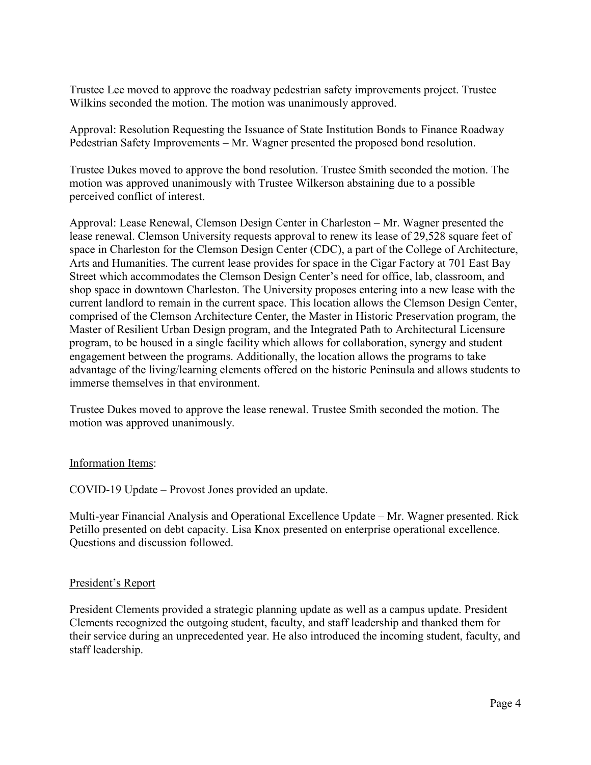Trustee Lee moved to approve the roadway pedestrian safety improvements project. Trustee Wilkins seconded the motion. The motion was unanimously approved.

Approval: Resolution Requesting the Issuance of State Institution Bonds to Finance Roadway Pedestrian Safety Improvements – Mr. Wagner presented the proposed bond resolution.

Trustee Dukes moved to approve the bond resolution. Trustee Smith seconded the motion. The motion was approved unanimously with Trustee Wilkerson abstaining due to a possible perceived conflict of interest.

Approval: Lease Renewal, Clemson Design Center in Charleston – Mr. Wagner presented the lease renewal. Clemson University requests approval to renew its lease of 29,528 square feet of space in Charleston for the Clemson Design Center (CDC), a part of the College of Architecture, Arts and Humanities. The current lease provides for space in the Cigar Factory at 701 East Bay Street which accommodates the Clemson Design Center's need for office, lab, classroom, and shop space in downtown Charleston. The University proposes entering into a new lease with the current landlord to remain in the current space. This location allows the Clemson Design Center, comprised of the Clemson Architecture Center, the Master in Historic Preservation program, the Master of Resilient Urban Design program, and the Integrated Path to Architectural Licensure program, to be housed in a single facility which allows for collaboration, synergy and student engagement between the programs. Additionally, the location allows the programs to take advantage of the living/learning elements offered on the historic Peninsula and allows students to immerse themselves in that environment.

Trustee Dukes moved to approve the lease renewal. Trustee Smith seconded the motion. The motion was approved unanimously.

## Information Items:

COVID-19 Update – Provost Jones provided an update.

Multi-year Financial Analysis and Operational Excellence Update – Mr. Wagner presented. Rick Petillo presented on debt capacity. Lisa Knox presented on enterprise operational excellence. Questions and discussion followed.

#### President's Report

President Clements provided a strategic planning update as well as a campus update. President Clements recognized the outgoing student, faculty, and staff leadership and thanked them for their service during an unprecedented year. He also introduced the incoming student, faculty, and staff leadership.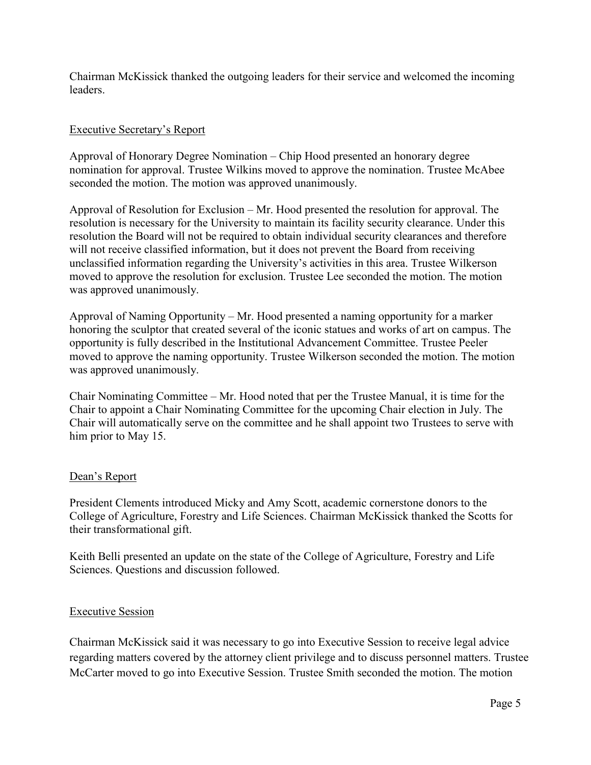Chairman McKissick thanked the outgoing leaders for their service and welcomed the incoming leaders.

## Executive Secretary's Report

Approval of Honorary Degree Nomination – Chip Hood presented an honorary degree nomination for approval. Trustee Wilkins moved to approve the nomination. Trustee McAbee seconded the motion. The motion was approved unanimously.

Approval of Resolution for Exclusion – Mr. Hood presented the resolution for approval. The resolution is necessary for the University to maintain its facility security clearance. Under this resolution the Board will not be required to obtain individual security clearances and therefore will not receive classified information, but it does not prevent the Board from receiving unclassified information regarding the University's activities in this area. Trustee Wilkerson moved to approve the resolution for exclusion. Trustee Lee seconded the motion. The motion was approved unanimously.

Approval of Naming Opportunity – Mr. Hood presented a naming opportunity for a marker honoring the sculptor that created several of the iconic statues and works of art on campus. The opportunity is fully described in the Institutional Advancement Committee. Trustee Peeler moved to approve the naming opportunity. Trustee Wilkerson seconded the motion. The motion was approved unanimously.

Chair Nominating Committee – Mr. Hood noted that per the Trustee Manual, it is time for the Chair to appoint a Chair Nominating Committee for the upcoming Chair election in July. The Chair will automatically serve on the committee and he shall appoint two Trustees to serve with him prior to May 15.

## Dean's Report

President Clements introduced Micky and Amy Scott, academic cornerstone donors to the College of Agriculture, Forestry and Life Sciences. Chairman McKissick thanked the Scotts for their transformational gift.

Keith Belli presented an update on the state of the College of Agriculture, Forestry and Life Sciences. Questions and discussion followed.

#### Executive Session

Chairman McKissick said it was necessary to go into Executive Session to receive legal advice regarding matters covered by the attorney client privilege and to discuss personnel matters. Trustee McCarter moved to go into Executive Session. Trustee Smith seconded the motion. The motion